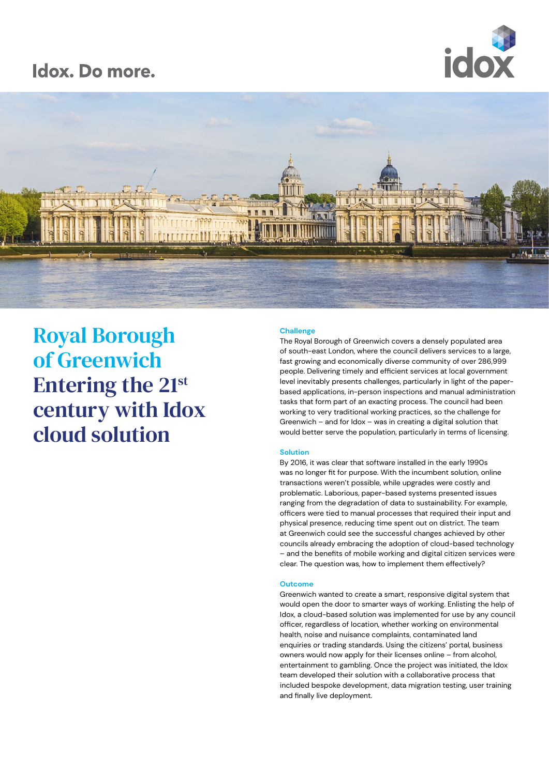# Idox. Do more.





Royal Borough of Greenwich Entering the 21st century with Idox cloud solution

## **Challenge**

The Royal Borough of Greenwich covers a densely populated area of south-east London, where the council delivers services to a large, fast growing and economically diverse community of over 286,999 people. Delivering timely and efficient services at local government level inevitably presents challenges, particularly in light of the paperbased applications, in-person inspections and manual administration tasks that form part of an exacting process. The council had been working to very traditional working practices, so the challenge for Greenwich – and for Idox – was in creating a digital solution that would better serve the population, particularly in terms of licensing.

## **Solution**

By 2016, it was clear that software installed in the early 1990s was no longer fit for purpose. With the incumbent solution, online transactions weren't possible, while upgrades were costly and problematic. Laborious, paper-based systems presented issues ranging from the degradation of data to sustainability. For example, officers were tied to manual processes that required their input and physical presence, reducing time spent out on district. The team at Greenwich could see the successful changes achieved by other councils already embracing the adoption of cloud-based technology – and the benefits of mobile working and digital citizen services were clear. The question was, how to implement them effectively?

## **Outcome**

Greenwich wanted to create a smart, responsive digital system that would open the door to smarter ways of working. Enlisting the help of Idox, a cloud-based solution was implemented for use by any council officer, regardless of location, whether working on environmental health, noise and nuisance complaints, contaminated land enquiries or trading standards. Using the citizens' portal, business owners would now apply for their licenses online – from alcohol, entertainment to gambling. Once the project was initiated, the Idox team developed their solution with a collaborative process that included bespoke development, data migration testing, user training and finally live deployment.